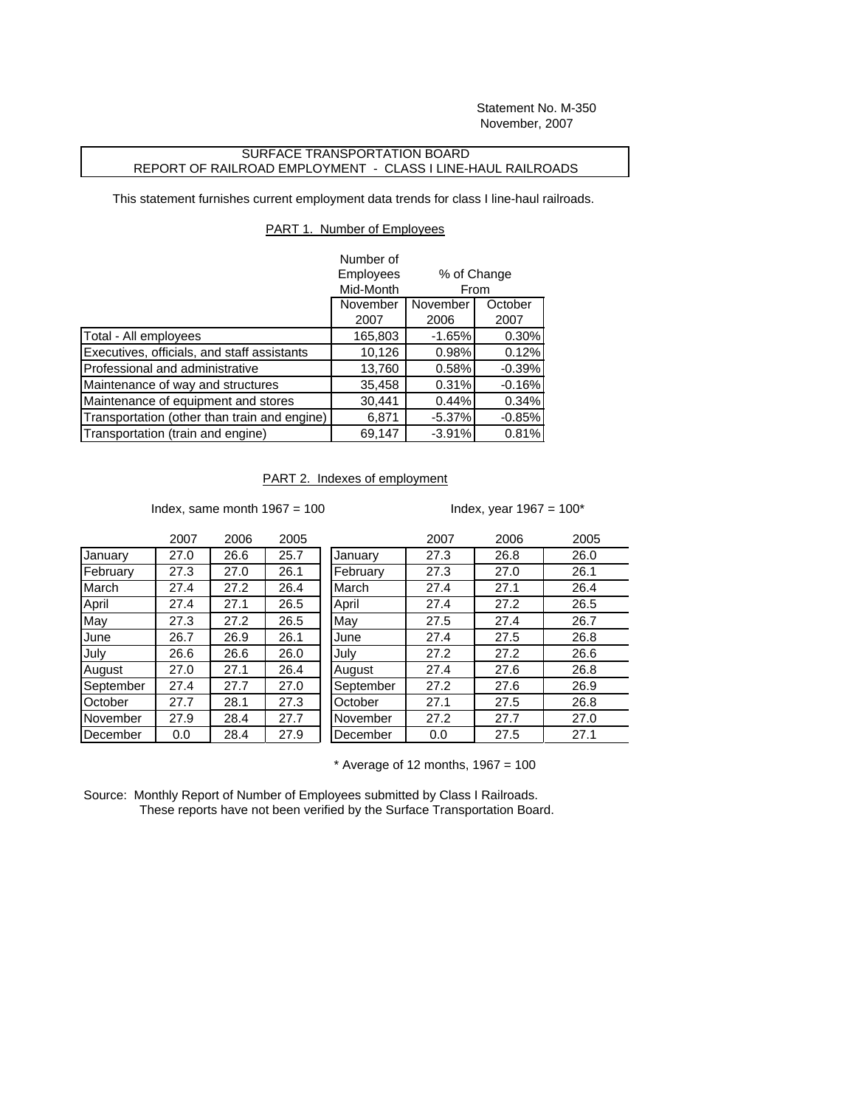Statement No. M-350 November, 2007

## SURFACE TRANSPORTATION BOARD REPORT OF RAILROAD EMPLOYMENT - CLASS I LINE-HAUL RAILROADS

This statement furnishes current employment data trends for class I line-haul railroads.

## PART 1. Number of Employees

|                                              | Number of |                     |          |  |
|----------------------------------------------|-----------|---------------------|----------|--|
|                                              | Employees | % of Change<br>From |          |  |
|                                              | Mid-Month |                     |          |  |
|                                              | November  | November<br>October |          |  |
|                                              | 2007      | 2006                | 2007     |  |
| Total - All employees                        | 165,803   | $-1.65%$            | 0.30%    |  |
| Executives, officials, and staff assistants  | 10,126    | 0.98%               | 0.12%    |  |
| Professional and administrative              | 13,760    | 0.58%               | $-0.39%$ |  |
| Maintenance of way and structures            | 35,458    | 0.31%               | $-0.16%$ |  |
| Maintenance of equipment and stores          | 30,441    | 0.44%               | 0.34%    |  |
| Transportation (other than train and engine) | 6,871     | $-5.37%$            | $-0.85%$ |  |
| Transportation (train and engine)            | 69,147    | $-3.91%$            | 0.81%    |  |

## PART 2. Indexes of employment

Index, same month  $1967 = 100$  Index, year  $1967 = 100^*$ 

|           | 2007 | 2006 | 2005 |           | 2007 | 2006 | 2005 |
|-----------|------|------|------|-----------|------|------|------|
| January   | 27.0 | 26.6 | 25.7 | January   | 27.3 | 26.8 | 26.0 |
| February  | 27.3 | 27.0 | 26.1 | February  | 27.3 | 27.0 | 26.1 |
| March     | 27.4 | 27.2 | 26.4 | March     | 27.4 | 27.1 | 26.4 |
| April     | 27.4 | 27.1 | 26.5 | April     | 27.4 | 27.2 | 26.5 |
| May       | 27.3 | 27.2 | 26.5 | May       | 27.5 | 27.4 | 26.7 |
| June      | 26.7 | 26.9 | 26.1 | June      | 27.4 | 27.5 | 26.8 |
| July      | 26.6 | 26.6 | 26.0 | July      | 27.2 | 27.2 | 26.6 |
| August    | 27.0 | 27.1 | 26.4 | August    | 27.4 | 27.6 | 26.8 |
| September | 27.4 | 27.7 | 27.0 | September | 27.2 | 27.6 | 26.9 |
| October   | 27.7 | 28.1 | 27.3 | October   | 27.1 | 27.5 | 26.8 |
| November  | 27.9 | 28.4 | 27.7 | November  | 27.2 | 27.7 | 27.0 |
| December  | 0.0  | 28.4 | 27.9 | December  | 0.0  | 27.5 | 27.1 |
|           |      |      |      |           |      |      |      |

 $*$  Average of 12 months, 1967 = 100

Source: Monthly Report of Number of Employees submitted by Class I Railroads. These reports have not been verified by the Surface Transportation Board.